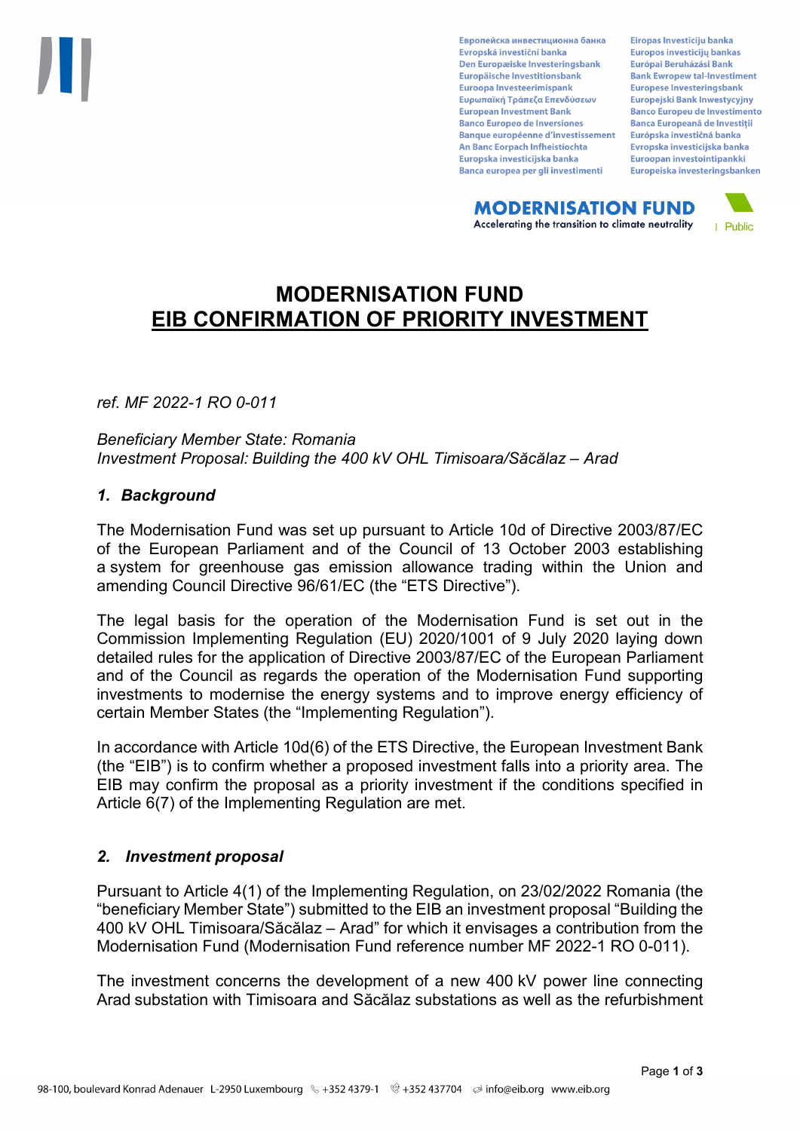Европейска инвестиционна банка Evropská investiční banka Den Europæiske Investeringsbank Europäische Investitionsbank Euroopa Investeerimispank Ευρωπαϊκή Τράπεζα Επενδύσεων **European Investment Bank Banco Europeo de Inversiones Banque européenne d'investissement** An Banc Eorpach Infheistíochta Europska investicijska banka Banca europea per gli investimenti

Eiropas Investīciju banka Europos investicijų bankas Európai Beruházási Bank **Bank Ewropew tal-Investiment** Europese Investeringsbank **Europeiski Bank Inwestycviny Banco Europeu de Investimento Banca Europeană de Investiții** Európska investičná banka Evropska investicijska banka Euroopan investointipankki Europeiska investeringsbanken

**MODERNISATION FUND** Accelerating the transition to climate neutrality



# **MODERNISATION FUND EIB CONFIRMATION OF PRIORITY INVESTMENT**

*ref. MF 2022-1 RO 0-011*

*Beneficiary Member State: Romania Investment Proposal: Building the 400 kV OHL Timisoara/Săcălaz – Arad*

## *1. Background*

The Modernisation Fund was set up pursuant to Article 10d of Directive 2003/87/EC of the European Parliament and of the Council of 13 October 2003 establishing a system for greenhouse gas emission allowance trading within the Union and amending Council Directive 96/61/EC (the "ETS Directive").

The legal basis for the operation of the Modernisation Fund is set out in the Commission Implementing Regulation (EU) 2020/1001 of 9 July 2020 laying down detailed rules for the application of Directive 2003/87/EC of the European Parliament and of the Council as regards the operation of the Modernisation Fund supporting investments to modernise the energy systems and to improve energy efficiency of certain Member States (the "Implementing Regulation").

In accordance with Article 10d(6) of the ETS Directive, the European Investment Bank (the "EIB") is to confirm whether a proposed investment falls into a priority area. The EIB may confirm the proposal as a priority investment if the conditions specified in Article 6(7) of the Implementing Regulation are met.

## *2. Investment proposal*

Pursuant to Article 4(1) of the Implementing Regulation, on 23/02/2022 Romania (the "beneficiary Member State") submitted to the EIB an investment proposal "Building the 400 kV OHL Timisoara/Săcălaz – Arad" for which it envisages a contribution from the Modernisation Fund (Modernisation Fund reference number MF 2022-1 RO 0-011).

The investment concerns the development of a new 400 kV power line connecting Arad substation with Timisoara and Săcălaz substations as well as the refurbishment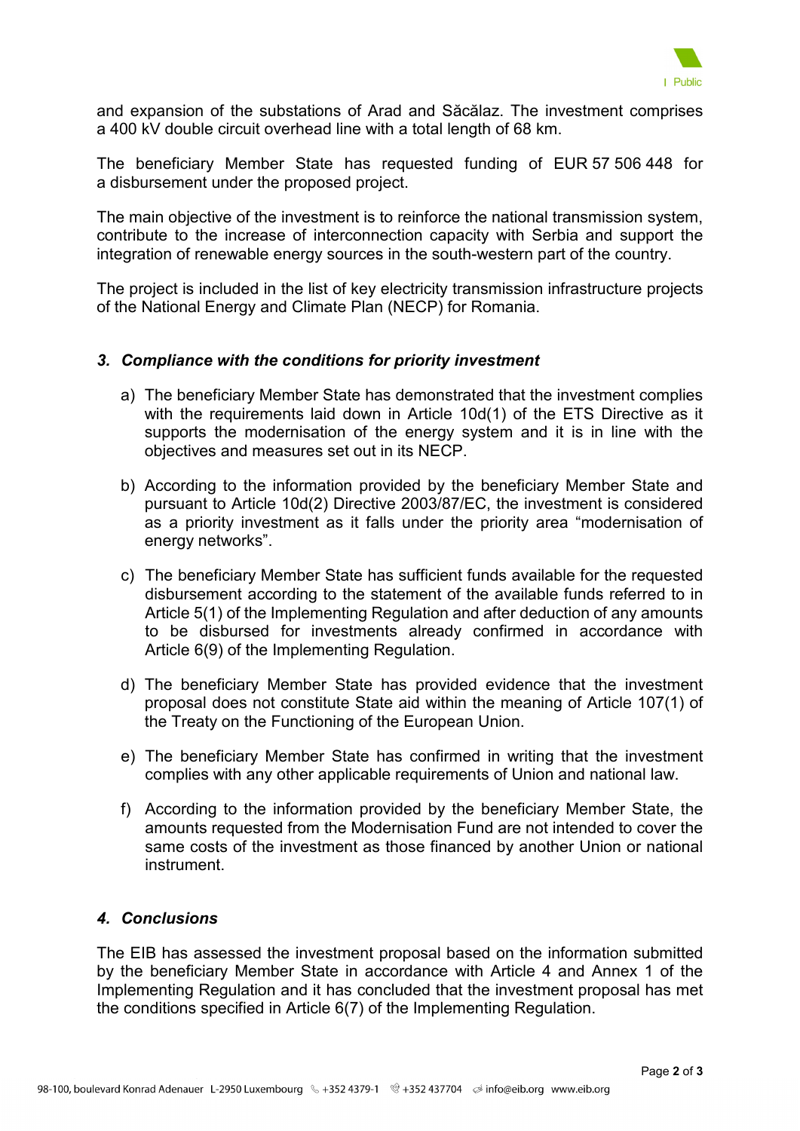

and expansion of the substations of Arad and Săcălaz. The investment comprises a 400 kV double circuit overhead line with a total length of 68 km.

The beneficiary Member State has requested funding of EUR 57 506 448 for a disbursement under the proposed project.

The main objective of the investment is to reinforce the national transmission system, contribute to the increase of interconnection capacity with Serbia and support the integration of renewable energy sources in the south-western part of the country.

The project is included in the list of key electricity transmission infrastructure projects of the National Energy and Climate Plan (NECP) for Romania.

## *3. Compliance with the conditions for priority investment*

- a) The beneficiary Member State has demonstrated that the investment complies with the requirements laid down in Article 10d(1) of the ETS Directive as it supports the modernisation of the energy system and it is in line with the objectives and measures set out in its NECP.
- b) According to the information provided by the beneficiary Member State and pursuant to Article 10d(2) Directive 2003/87/EC, the investment is considered as a priority investment as it falls under the priority area "modernisation of energy networks".
- c) The beneficiary Member State has sufficient funds available for the requested disbursement according to the statement of the available funds referred to in Article 5(1) of the Implementing Regulation and after deduction of any amounts to be disbursed for investments already confirmed in accordance with Article 6(9) of the Implementing Regulation.
- d) The beneficiary Member State has provided evidence that the investment proposal does not constitute State aid within the meaning of Article 107(1) of the Treaty on the Functioning of the European Union.
- e) The beneficiary Member State has confirmed in writing that the investment complies with any other applicable requirements of Union and national law.
- f) According to the information provided by the beneficiary Member State, the amounts requested from the Modernisation Fund are not intended to cover the same costs of the investment as those financed by another Union or national instrument.

## *4. Conclusions*

The EIB has assessed the investment proposal based on the information submitted by the beneficiary Member State in accordance with Article 4 and Annex 1 of the Implementing Regulation and it has concluded that the investment proposal has met the conditions specified in Article 6(7) of the Implementing Regulation.